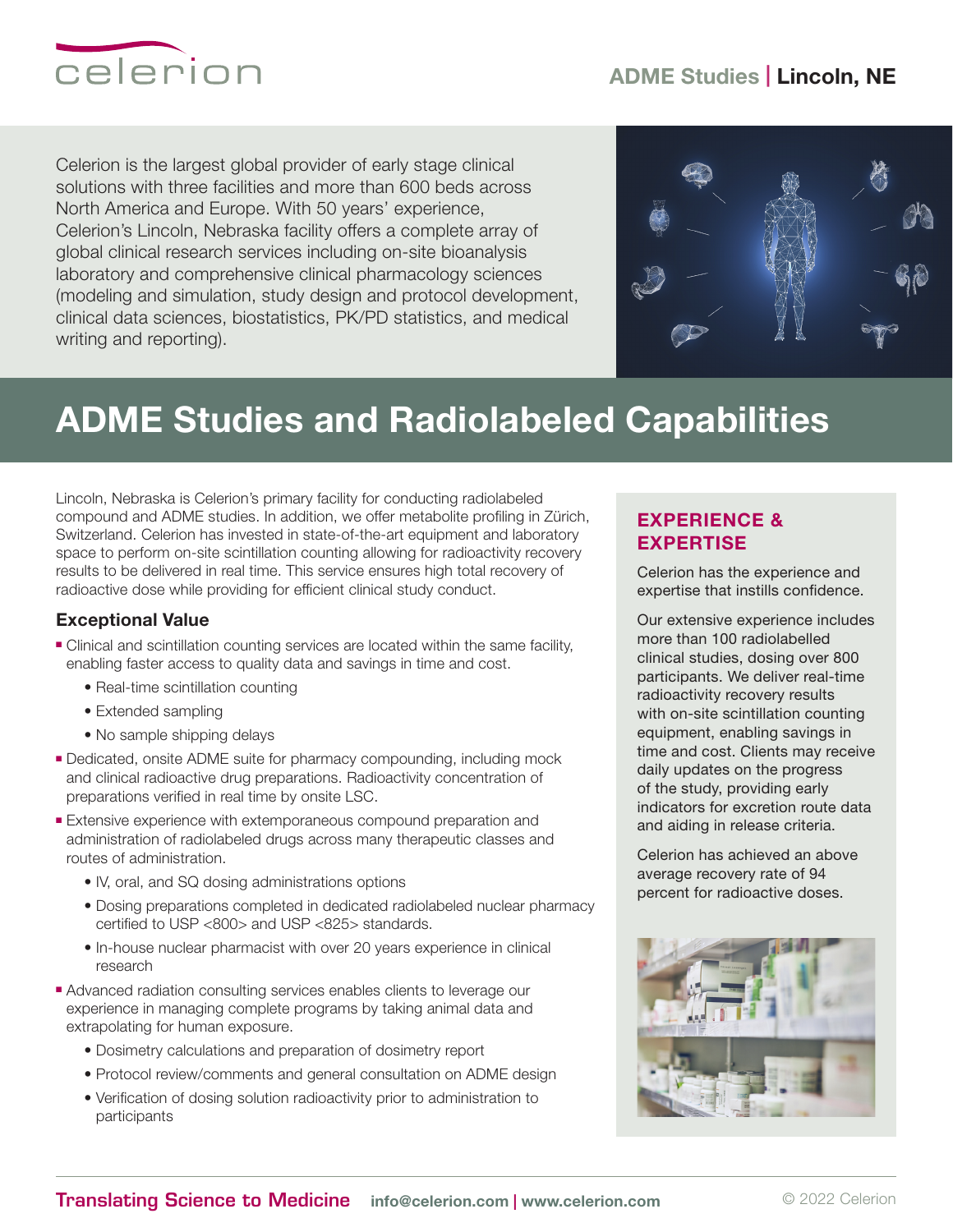## ADME Studies | Lincoln, NE



Celerion is the largest global provider of early stage clinical solutions with three facilities and more than 600 beds across North America and Europe. With 50 years' experience, Celerion's Lincoln, Nebraska facility offers a complete array of global clinical research services including on-site bioanalysis laboratory and comprehensive clinical pharmacology sciences (modeling and simulation, study design and protocol development, clinical data sciences, biostatistics, PK/PD statistics, and medical writing and reporting).



# ADME Studies and Radiolabeled Capabilities

Lincoln, Nebraska is Celerion's primary facility for conducting radiolabeled compound and ADME studies. In addition, we offer metabolite profiling in Zürich, Switzerland. Celerion has invested in state-of-the-art equipment and laboratory space to perform on-site scintillation counting allowing for radioactivity recovery results to be delivered in real time. This service ensures high total recovery of radioactive dose while providing for efficient clinical study conduct.

### Exceptional Value

- <sup>n</sup> Clinical and scintillation counting services are located within the same facility, enabling faster access to quality data and savings in time and cost.
	- Real-time scintillation counting
	- Extended sampling
	- No sample shipping delays
- <sup>n</sup> Dedicated, onsite ADME suite for pharmacy compounding, including mock and clinical radioactive drug preparations. Radioactivity concentration of preparations verified in real time by onsite LSC.
- **Extensive experience with extemporaneous compound preparation and** administration of radiolabeled drugs across many therapeutic classes and routes of administration.
	- IV, oral, and SQ dosing administrations options
	- Dosing preparations completed in dedicated radiolabeled nuclear pharmacy certified to USP <800> and USP <825> standards.
	- In-house nuclear pharmacist with over 20 years experience in clinical research
- Advanced radiation consulting services enables clients to leverage our experience in managing complete programs by taking animal data and extrapolating for human exposure.
	- Dosimetry calculations and preparation of dosimetry report
	- Protocol review/comments and general consultation on ADME design
	- Verification of dosing solution radioactivity prior to administration to participants

## EXPERIENCE & EXPERTISE

Celerion has the experience and expertise that instills confidence.

Our extensive experience includes more than 100 radiolabelled clinical studies, dosing over 800 participants. We deliver real-time radioactivity recovery results with on-site scintillation counting equipment, enabling savings in time and cost. Clients may receive daily updates on the progress of the study, providing early indicators for excretion route data and aiding in release criteria.

Celerion has achieved an above average recovery rate of 94 percent for radioactive doses.